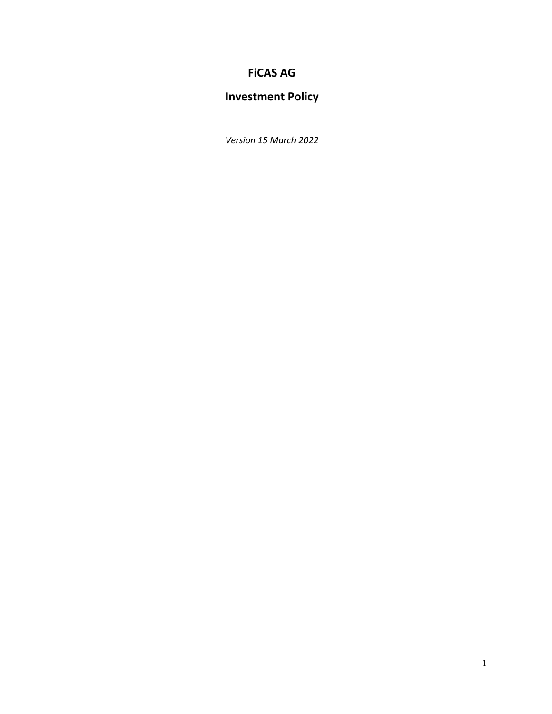## **FiCAS AG**

# **Investment Policy**

*Version 15 March 2022*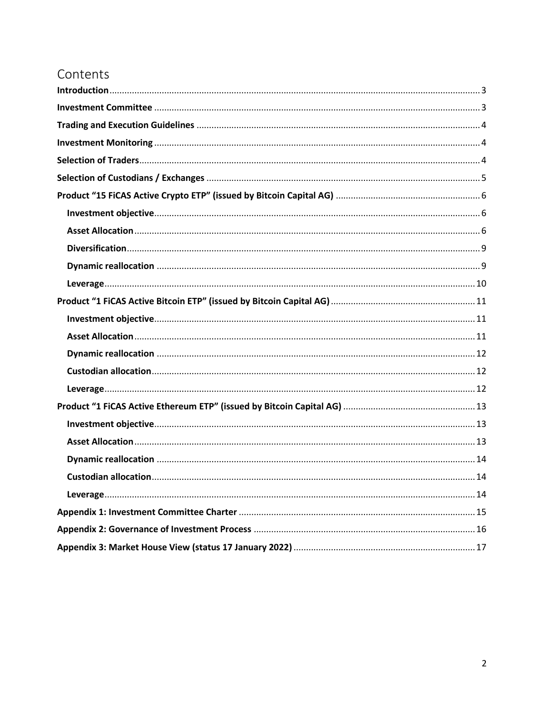# Contents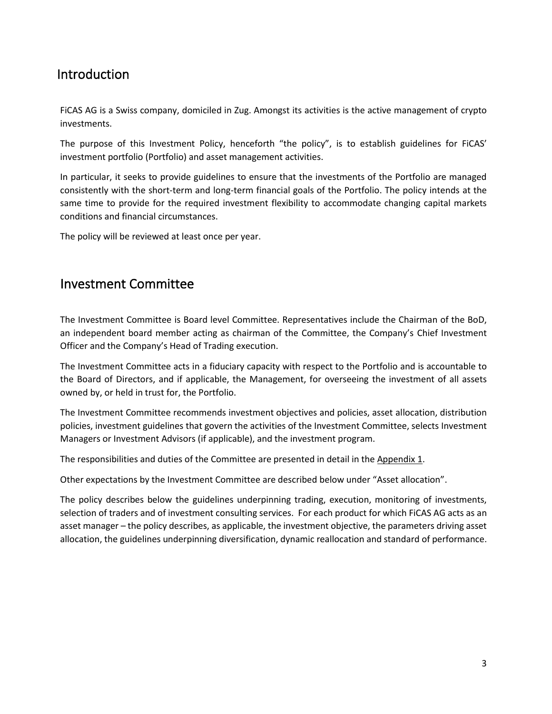## <span id="page-2-0"></span>Introduction

FiCAS AG is a Swiss company, domiciled in Zug. Amongst its activities is the active management of crypto investments.

The purpose of this Investment Policy, henceforth "the policy", is to establish guidelines for FiCAS' investment portfolio (Portfolio) and asset management activities.

In particular, it seeks to provide guidelines to ensure that the investments of the Portfolio are managed consistently with the short-term and long-term financial goals of the Portfolio. The policy intends at the same time to provide for the required investment flexibility to accommodate changing capital markets conditions and financial circumstances.

The policy will be reviewed at least once per year.

## <span id="page-2-1"></span>Investment Committee

The Investment Committee is Board level Committee. Representatives include the Chairman of the BoD, an independent board member acting as chairman of the Committee, the Company's Chief Investment Officer and the Company's Head of Trading execution.

The Investment Committee acts in a fiduciary capacity with respect to the Portfolio and is accountable to the Board of Directors, and if applicable, the Management, for overseeing the investment of all assets owned by, or held in trust for, the Portfolio.

The Investment Committee recommends investment objectives and policies, asset allocation, distribution policies, investment guidelines that govern the activities of the Investment Committee, selects Investment Managers or Investment Advisors (if applicable), and the investment program.

The responsibilities and duties of the Committee are presented in detail in the Appendix 1.

Other expectations by the Investment Committee are described below under "Asset allocation".

The policy describes below the guidelines underpinning trading, execution, monitoring of investments, selection of traders and of investment consulting services. For each product for which FiCAS AG acts as an asset manager – the policy describes, as applicable, the investment objective, the parameters driving asset allocation, the guidelines underpinning diversification, dynamic reallocation and standard of performance.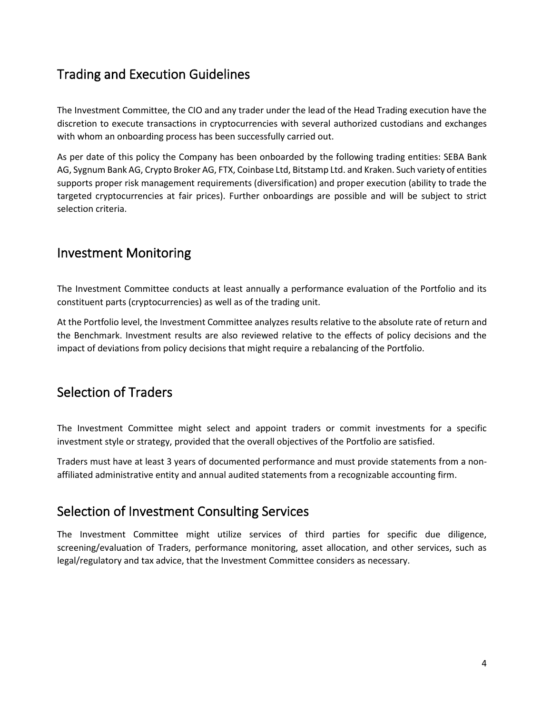# <span id="page-3-0"></span>Trading and Execution Guidelines

The Investment Committee, the CIO and any trader under the lead of the Head Trading execution have the discretion to execute transactions in cryptocurrencies with several authorized custodians and exchanges with whom an onboarding process has been successfully carried out.

As per date of this policy the Company has been onboarded by the following trading entities: SEBA Bank AG, Sygnum Bank AG, Crypto Broker AG, FTX, Coinbase Ltd, Bitstamp Ltd. and Kraken. Such variety of entities supports proper risk management requirements (diversification) and proper execution (ability to trade the targeted cryptocurrencies at fair prices). Further onboardings are possible and will be subject to strict selection criteria.

## <span id="page-3-1"></span>Investment Monitoring

The Investment Committee conducts at least annually a performance evaluation of the Portfolio and its constituent parts (cryptocurrencies) as well as of the trading unit.

At the Portfolio level, the Investment Committee analyzes results relative to the absolute rate of return and the Benchmark. Investment results are also reviewed relative to the effects of policy decisions and the impact of deviations from policy decisions that might require a rebalancing of the Portfolio.

## <span id="page-3-2"></span>Selection of Traders

The Investment Committee might select and appoint traders or commit investments for a specific investment style or strategy, provided that the overall objectives of the Portfolio are satisfied.

Traders must have at least 3 years of documented performance and must provide statements from a nonaffiliated administrative entity and annual audited statements from a recognizable accounting firm.

## Selection of Investment Consulting Services

The Investment Committee might utilize services of third parties for specific due diligence, screening/evaluation of Traders, performance monitoring, asset allocation, and other services, such as legal/regulatory and tax advice, that the Investment Committee considers as necessary.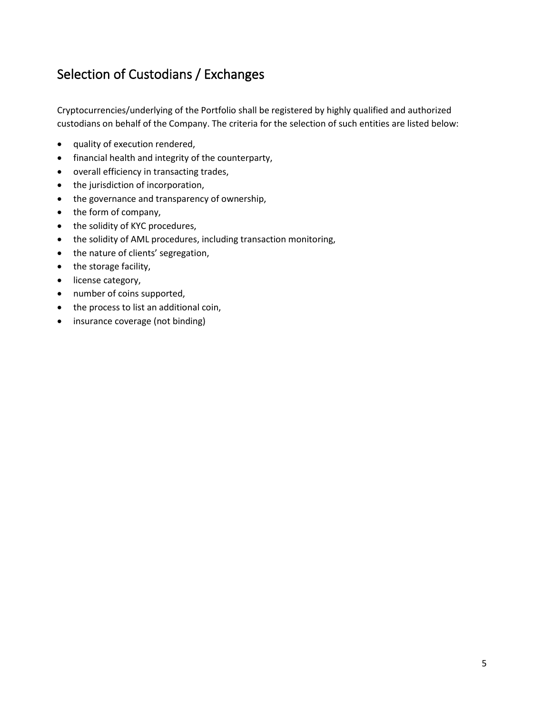# <span id="page-4-0"></span>Selection of Custodians / Exchanges

Cryptocurrencies/underlying of the Portfolio shall be registered by highly qualified and authorized custodians on behalf of the Company. The criteria for the selection of such entities are listed below:

- quality of execution rendered,
- financial health and integrity of the counterparty,
- overall efficiency in transacting trades,
- the jurisdiction of incorporation,
- the governance and transparency of ownership,
- the form of company,
- the solidity of KYC procedures,
- the solidity of AML procedures, including transaction monitoring,
- the nature of clients' segregation,
- the storage facility,
- license category,
- number of coins supported,
- the process to list an additional coin,
- insurance coverage (not binding)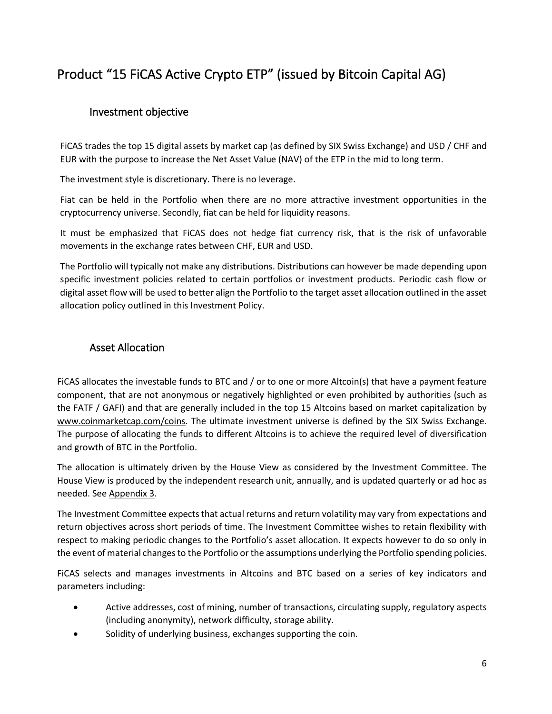# <span id="page-5-0"></span>Product "15 FiCAS Active Crypto ETP" (issued by Bitcoin Capital AG)

### <span id="page-5-1"></span>Investment objective

FiCAS trades the top 15 digital assets by market cap (as defined by SIX Swiss Exchange) and USD / CHF and EUR with the purpose to increase the Net Asset Value (NAV) of the ETP in the mid to long term.

The investment style is discretionary. There is no leverage.

Fiat can be held in the Portfolio when there are no more attractive investment opportunities in the cryptocurrency universe. Secondly, fiat can be held for liquidity reasons.

It must be emphasized that FiCAS does not hedge fiat currency risk, that is the risk of unfavorable movements in the exchange rates between CHF, EUR and USD.

The Portfolio will typically not make any distributions. Distributions can however be made depending upon specific investment policies related to certain portfolios or investment products. Periodic cash flow or digital asset flow will be used to better align the Portfolio to the target asset allocation outlined in the asset allocation policy outlined in this Investment Policy.

#### <span id="page-5-2"></span>Asset Allocation

FiCAS allocates the investable funds to BTC and / or to one or more Altcoin(s) that have a payment feature component, that are not anonymous or negatively highlighted or even prohibited by authorities (such as the FATF / GAFI) and that are generally included in the top 15 Altcoins based on market capitalization by [www.coinmarketcap.com/](http://www.coinmarketcap.com/)coins. The ultimate investment universe is defined by the SIX Swiss Exchange. The purpose of allocating the funds to different Altcoins is to achieve the required level of diversification and growth of BTC in the Portfolio.

The allocation is ultimately driven by the House View as considered by the Investment Committee. The House View is produced by the independent research unit, annually, and is updated quarterly or ad hoc as needed. See Appendix 3.

The Investment Committee expects that actual returns and return volatility may vary from expectations and return objectives across short periods of time. The Investment Committee wishes to retain flexibility with respect to making periodic changes to the Portfolio's asset allocation. It expects however to do so only in the event of material changes to the Portfolio or the assumptions underlying the Portfolio spending policies.

FiCAS selects and manages investments in Altcoins and BTC based on a series of key indicators and parameters including:

- Active addresses, cost of mining, number of transactions, circulating supply, regulatory aspects (including anonymity), network difficulty, storage ability.
- Solidity of underlying business, exchanges supporting the coin.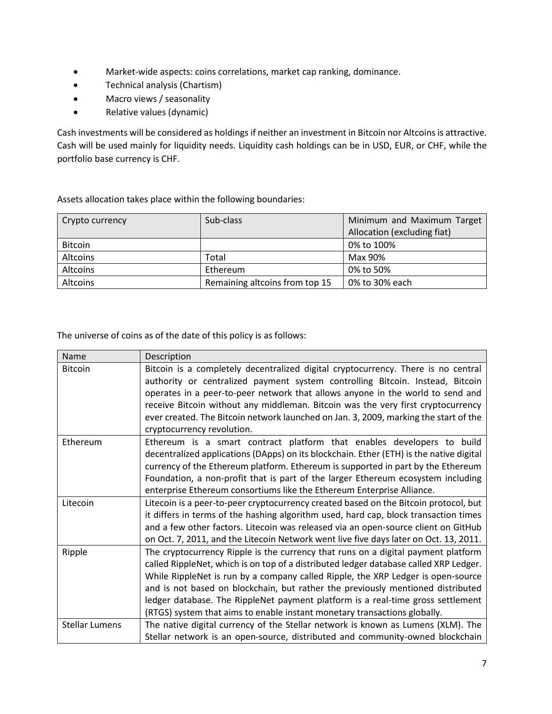- Market-wide aspects: coins correlations, market cap ranking, dominance.
- Technical analysis (Chartism)
- Macro views / seasonality
- Relative values (dynamic)

Cash investments will be considered as holdings if neither an investment in Bitcoin nor Altcoins is attractive. Cash will be used mainly for liquidity needs. Liquidity cash holdings can be in USD, EUR, or CHF, while the portfolio base currency is CHF.

Assets allocation takes place within the following boundaries:

| Crypto currency | Sub-class                      | Minimum and Maximum Target  |
|-----------------|--------------------------------|-----------------------------|
|                 |                                | Allocation (excluding fiat) |
| <b>Bitcoin</b>  |                                | 0% to 100%                  |
| <b>Altcoins</b> | Total                          | Max 90%                     |
| <b>Altcoins</b> | Ethereum                       | 0% to 50%                   |
| <b>Altcoins</b> | Remaining altcoins from top 15 | 0% to 30% each              |

The universe of coins as of the date of this policy is as follows:

| Name                  | Description                                                                                                                                                                                                                                                                                                                                                                                                                                                                                                       |
|-----------------------|-------------------------------------------------------------------------------------------------------------------------------------------------------------------------------------------------------------------------------------------------------------------------------------------------------------------------------------------------------------------------------------------------------------------------------------------------------------------------------------------------------------------|
| <b>Bitcoin</b>        | Bitcoin is a completely decentralized digital cryptocurrency. There is no central<br>authority or centralized payment system controlling Bitcoin. Instead, Bitcoin<br>operates in a peer-to-peer network that allows anyone in the world to send and                                                                                                                                                                                                                                                              |
|                       | receive Bitcoin without any middleman. Bitcoin was the very first cryptocurrency<br>ever created. The Bitcoin network launched on Jan. 3, 2009, marking the start of the                                                                                                                                                                                                                                                                                                                                          |
|                       | cryptocurrency revolution.                                                                                                                                                                                                                                                                                                                                                                                                                                                                                        |
| Ethereum              | Ethereum is a smart contract platform that enables developers to build<br>decentralized applications (DApps) on its blockchain. Ether (ETH) is the native digital<br>currency of the Ethereum platform. Ethereum is supported in part by the Ethereum<br>Foundation, a non-profit that is part of the larger Ethereum ecosystem including                                                                                                                                                                         |
|                       | enterprise Ethereum consortiums like the Ethereum Enterprise Alliance.                                                                                                                                                                                                                                                                                                                                                                                                                                            |
| Litecoin              | Litecoin is a peer-to-peer cryptocurrency created based on the Bitcoin protocol, but<br>it differs in terms of the hashing algorithm used, hard cap, block transaction times<br>and a few other factors. Litecoin was released via an open-source client on GitHub<br>on Oct. 7, 2011, and the Litecoin Network went live five days later on Oct. 13, 2011.                                                                                                                                                       |
| Ripple                | The cryptocurrency Ripple is the currency that runs on a digital payment platform<br>called RippleNet, which is on top of a distributed ledger database called XRP Ledger.<br>While RippleNet is run by a company called Ripple, the XRP Ledger is open-source<br>and is not based on blockchain, but rather the previously mentioned distributed<br>ledger database. The RippleNet payment platform is a real-time gross settlement<br>(RTGS) system that aims to enable instant monetary transactions globally. |
| <b>Stellar Lumens</b> | The native digital currency of the Stellar network is known as Lumens (XLM). The<br>Stellar network is an open-source, distributed and community-owned blockchain                                                                                                                                                                                                                                                                                                                                                 |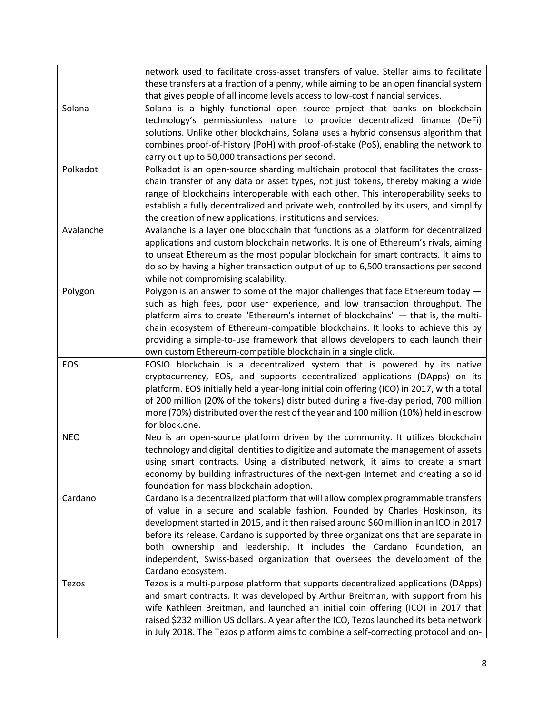|            | network used to facilitate cross-asset transfers of value. Stellar aims to facilitate<br>these transfers at a fraction of a penny, while aiming to be an open financial system |
|------------|--------------------------------------------------------------------------------------------------------------------------------------------------------------------------------|
|            | that gives people of all income levels access to low-cost financial services.                                                                                                  |
| Solana     | Solana is a highly functional open source project that banks on blockchain                                                                                                     |
|            | technology's permissionless nature to provide decentralized finance (DeFi)                                                                                                     |
|            | solutions. Unlike other blockchains, Solana uses a hybrid consensus algorithm that                                                                                             |
|            | combines proof-of-history (PoH) with proof-of-stake (PoS), enabling the network to                                                                                             |
|            | carry out up to 50,000 transactions per second.                                                                                                                                |
| Polkadot   | Polkadot is an open-source sharding multichain protocol that facilitates the cross-                                                                                            |
|            | chain transfer of any data or asset types, not just tokens, thereby making a wide                                                                                              |
|            | range of blockchains interoperable with each other. This interoperability seeks to                                                                                             |
|            | establish a fully decentralized and private web, controlled by its users, and simplify                                                                                         |
|            | the creation of new applications, institutions and services.                                                                                                                   |
| Avalanche  | Avalanche is a layer one blockchain that functions as a platform for decentralized                                                                                             |
|            | applications and custom blockchain networks. It is one of Ethereum's rivals, aiming                                                                                            |
|            | to unseat Ethereum as the most popular blockchain for smart contracts. It aims to                                                                                              |
|            | do so by having a higher transaction output of up to 6,500 transactions per second                                                                                             |
|            | while not compromising scalability.                                                                                                                                            |
| Polygon    | Polygon is an answer to some of the major challenges that face Ethereum today -                                                                                                |
|            | such as high fees, poor user experience, and low transaction throughput. The                                                                                                   |
|            | platform aims to create "Ethereum's internet of blockchains" - that is, the multi-                                                                                             |
|            | chain ecosystem of Ethereum-compatible blockchains. It looks to achieve this by                                                                                                |
|            | providing a simple-to-use framework that allows developers to each launch their                                                                                                |
|            | own custom Ethereum-compatible blockchain in a single click.                                                                                                                   |
| EOS        | EOSIO blockchain is a decentralized system that is powered by its native                                                                                                       |
|            | cryptocurrency, EOS, and supports decentralized applications (DApps) on its                                                                                                    |
|            | platform. EOS initially held a year-long initial coin offering (ICO) in 2017, with a total                                                                                     |
|            | of 200 million (20% of the tokens) distributed during a five-day period, 700 million                                                                                           |
|            | more (70%) distributed over the rest of the year and 100 million (10%) held in escrow                                                                                          |
|            | for block.one.                                                                                                                                                                 |
| <b>NEO</b> | Neo is an open-source platform driven by the community. It utilizes blockchain                                                                                                 |
|            | technology and digital identities to digitize and automate the management of assets                                                                                            |
|            | using smart contracts. Using a distributed network, it aims to create a smart                                                                                                  |
|            | economy by building infrastructures of the next-gen Internet and creating a solid                                                                                              |
|            | foundation for mass blockchain adoption.                                                                                                                                       |
| Cardano    | Cardano is a decentralized platform that will allow complex programmable transfers                                                                                             |
|            | of value in a secure and scalable fashion. Founded by Charles Hoskinson, its                                                                                                   |
|            | development started in 2015, and it then raised around \$60 million in an ICO in 2017                                                                                          |
|            | before its release. Cardano is supported by three organizations that are separate in                                                                                           |
|            | both ownership and leadership. It includes the Cardano Foundation, an                                                                                                          |
|            | independent, Swiss-based organization that oversees the development of the                                                                                                     |
|            | Cardano ecosystem.                                                                                                                                                             |
| Tezos      | Tezos is a multi-purpose platform that supports decentralized applications (DApps)                                                                                             |
|            | and smart contracts. It was developed by Arthur Breitman, with support from his                                                                                                |
|            | wife Kathleen Breitman, and launched an initial coin offering (ICO) in 2017 that                                                                                               |
|            | raised \$232 million US dollars. A year after the ICO, Tezos launched its beta network                                                                                         |
|            | in July 2018. The Tezos platform aims to combine a self-correcting protocol and on-                                                                                            |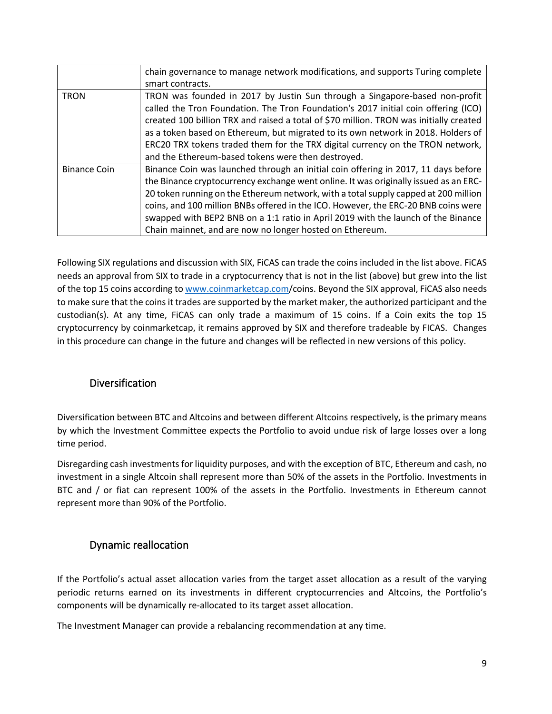|                     | chain governance to manage network modifications, and supports Turing complete                                                                                                                                                                                                                                                                                                                                                                                                                           |
|---------------------|----------------------------------------------------------------------------------------------------------------------------------------------------------------------------------------------------------------------------------------------------------------------------------------------------------------------------------------------------------------------------------------------------------------------------------------------------------------------------------------------------------|
|                     | smart contracts.                                                                                                                                                                                                                                                                                                                                                                                                                                                                                         |
| <b>TRON</b>         | TRON was founded in 2017 by Justin Sun through a Singapore-based non-profit<br>called the Tron Foundation. The Tron Foundation's 2017 initial coin offering (ICO)<br>created 100 billion TRX and raised a total of \$70 million. TRON was initially created<br>as a token based on Ethereum, but migrated to its own network in 2018. Holders of<br>ERC20 TRX tokens traded them for the TRX digital currency on the TRON network,                                                                       |
|                     | and the Ethereum-based tokens were then destroyed.                                                                                                                                                                                                                                                                                                                                                                                                                                                       |
| <b>Binance Coin</b> | Binance Coin was launched through an initial coin offering in 2017, 11 days before<br>the Binance cryptocurrency exchange went online. It was originally issued as an ERC-<br>20 token running on the Ethereum network, with a total supply capped at 200 million<br>coins, and 100 million BNBs offered in the ICO. However, the ERC-20 BNB coins were<br>swapped with BEP2 BNB on a 1:1 ratio in April 2019 with the launch of the Binance<br>Chain mainnet, and are now no longer hosted on Ethereum. |

Following SIX regulations and discussion with SIX, FiCAS can trade the coins included in the list above. FiCAS needs an approval from SIX to trade in a cryptocurrency that is not in the list (above) but grew into the list of the top 15 coins according t[o www.coinmarketcap.com/](http://www.coinmarketcap.com/)coins. Beyond the SIX approval, FiCAS also needs to make sure that the coins it trades are supported by the market maker, the authorized participant and the custodian(s). At any time, FiCAS can only trade a maximum of 15 coins. If a Coin exits the top 15 cryptocurrency by coinmarketcap, it remains approved by SIX and therefore tradeable by FICAS. Changes in this procedure can change in the future and changes will be reflected in new versions of this policy.

### <span id="page-8-0"></span>Diversification

Diversification between BTC and Altcoins and between different Altcoins respectively, is the primary means by which the Investment Committee expects the Portfolio to avoid undue risk of large losses over a long time period.

Disregarding cash investments for liquidity purposes, and with the exception of BTC, Ethereum and cash, no investment in a single Altcoin shall represent more than 50% of the assets in the Portfolio. Investments in BTC and / or fiat can represent 100% of the assets in the Portfolio. Investments in Ethereum cannot represent more than 90% of the Portfolio.

### <span id="page-8-1"></span>Dynamic reallocation

If the Portfolio's actual asset allocation varies from the target asset allocation as a result of the varying periodic returns earned on its investments in different cryptocurrencies and Altcoins, the Portfolio's components will be dynamically re-allocated to its target asset allocation.

The Investment Manager can provide a rebalancing recommendation at any time.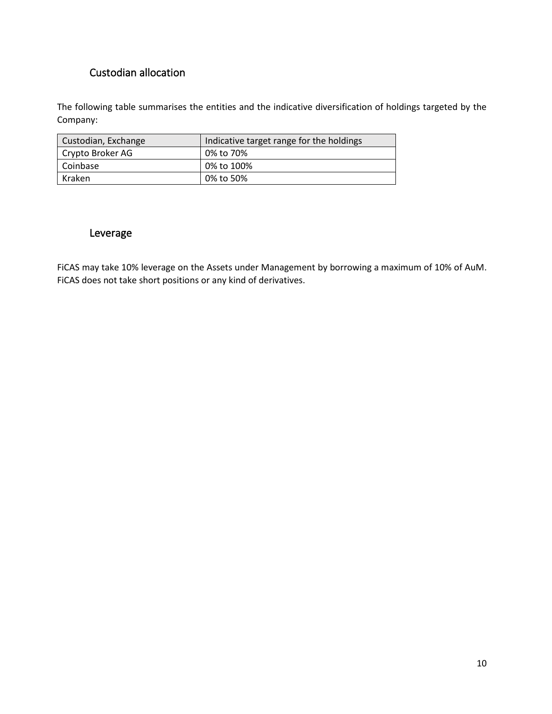## Custodian allocation

The following table summarises the entities and the indicative diversification of holdings targeted by the Company:

| Custodian, Exchange | Indicative target range for the holdings |
|---------------------|------------------------------------------|
| Crypto Broker AG    | 0% to 70%                                |
| Coinbase            | 0% to 100%                               |
| Kraken              | 0% to 50%                                |

#### <span id="page-9-0"></span>Leverage

FiCAS may take 10% leverage on the Assets under Management by borrowing a maximum of 10% of AuM. FiCAS does not take short positions or any kind of derivatives.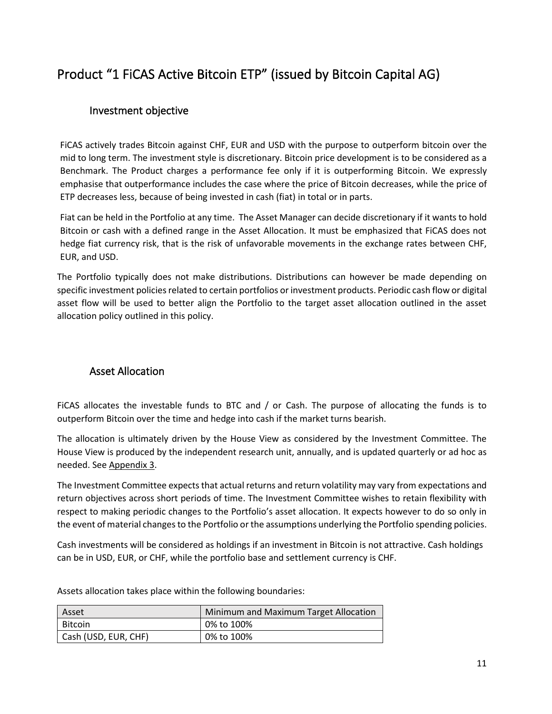# <span id="page-10-0"></span>Product "1 FiCAS Active Bitcoin ETP" (issued by Bitcoin Capital AG)

### <span id="page-10-1"></span>Investment objective

FiCAS actively trades Bitcoin against CHF, EUR and USD with the purpose to outperform bitcoin over the mid to long term. The investment style is discretionary. Bitcoin price development is to be considered as a Benchmark. The Product charges a performance fee only if it is outperforming Bitcoin. We expressly emphasise that outperformance includes the case where the price of Bitcoin decreases, while the price of ETP decreases less, because of being invested in cash (fiat) in total or in parts.

Fiat can be held in the Portfolio at any time. The Asset Manager can decide discretionary if it wants to hold Bitcoin or cash with a defined range in the Asset Allocation. It must be emphasized that FiCAS does not hedge fiat currency risk, that is the risk of unfavorable movements in the exchange rates between CHF, EUR, and USD.

The Portfolio typically does not make distributions. Distributions can however be made depending on specific investment policies related to certain portfolios or investment products. Periodic cash flow or digital asset flow will be used to better align the Portfolio to the target asset allocation outlined in the asset allocation policy outlined in this policy.

#### <span id="page-10-2"></span>Asset Allocation

FiCAS allocates the investable funds to BTC and / or Cash. The purpose of allocating the funds is to outperform Bitcoin over the time and hedge into cash if the market turns bearish.

The allocation is ultimately driven by the House View as considered by the Investment Committee. The House View is produced by the independent research unit, annually, and is updated quarterly or ad hoc as needed. See Appendix 3.

The Investment Committee expects that actual returns and return volatility may vary from expectations and return objectives across short periods of time. The Investment Committee wishes to retain flexibility with respect to making periodic changes to the Portfolio's asset allocation. It expects however to do so only in the event of material changes to the Portfolio or the assumptions underlying the Portfolio spending policies.

Cash investments will be considered as holdings if an investment in Bitcoin is not attractive. Cash holdings can be in USD, EUR, or CHF, while the portfolio base and settlement currency is CHF.

Assets allocation takes place within the following boundaries:

| Asset                | Minimum and Maximum Target Allocation |
|----------------------|---------------------------------------|
| Bitcoin              | 0% to 100%                            |
| Cash (USD, EUR, CHF) | 0% to 100%                            |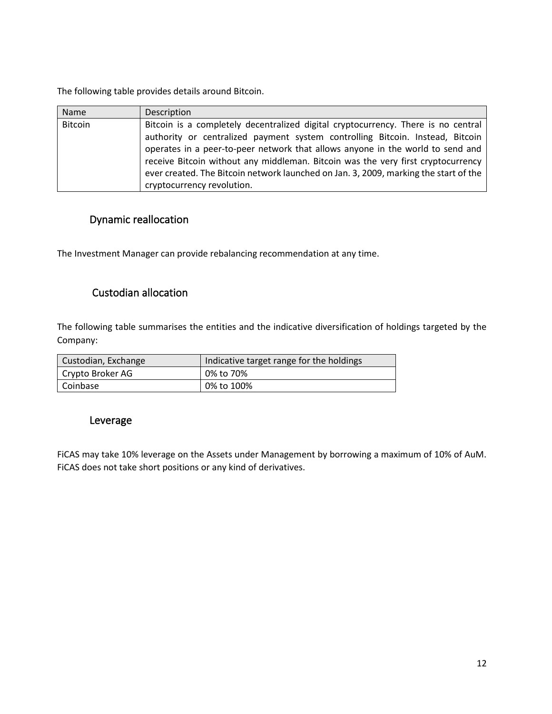The following table provides details around Bitcoin.

| Name           | Description                                                                          |
|----------------|--------------------------------------------------------------------------------------|
| <b>Bitcoin</b> | Bitcoin is a completely decentralized digital cryptocurrency. There is no central    |
|                | authority or centralized payment system controlling Bitcoin. Instead, Bitcoin        |
|                | operates in a peer-to-peer network that allows anyone in the world to send and       |
|                | receive Bitcoin without any middleman. Bitcoin was the very first cryptocurrency     |
|                | ever created. The Bitcoin network launched on Jan. 3, 2009, marking the start of the |
|                | cryptocurrency revolution.                                                           |

### <span id="page-11-0"></span>Dynamic reallocation

The Investment Manager can provide rebalancing recommendation at any time.

#### <span id="page-11-1"></span>Custodian allocation

The following table summarises the entities and the indicative diversification of holdings targeted by the Company:

| Custodian, Exchange | Indicative target range for the holdings |
|---------------------|------------------------------------------|
| Crypto Broker AG    | 0% to 70%                                |
| Coinbase            | 0% to 100%                               |

#### <span id="page-11-2"></span>Leverage

FiCAS may take 10% leverage on the Assets under Management by borrowing a maximum of 10% of AuM. FiCAS does not take short positions or any kind of derivatives.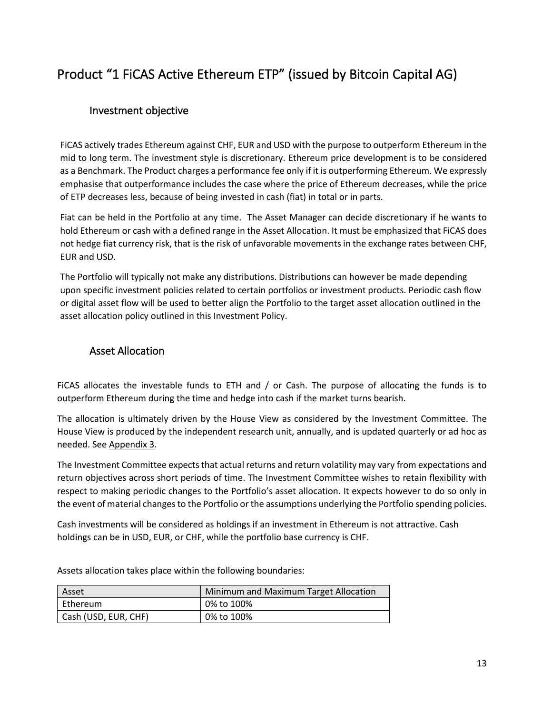# <span id="page-12-0"></span>Product "1 FiCAS Active Ethereum ETP" (issued by Bitcoin Capital AG)

### <span id="page-12-1"></span>Investment objective

FiCAS actively trades Ethereum against CHF, EUR and USD with the purpose to outperform Ethereum in the mid to long term. The investment style is discretionary. Ethereum price development is to be considered as a Benchmark. The Product charges a performance fee only if it is outperforming Ethereum. We expressly emphasise that outperformance includes the case where the price of Ethereum decreases, while the price of ETP decreases less, because of being invested in cash (fiat) in total or in parts.

Fiat can be held in the Portfolio at any time. The Asset Manager can decide discretionary if he wants to hold Ethereum or cash with a defined range in the Asset Allocation. It must be emphasized that FiCAS does not hedge fiat currency risk, that is the risk of unfavorable movements in the exchange rates between CHF, EUR and USD.

The Portfolio will typically not make any distributions. Distributions can however be made depending upon specific investment policies related to certain portfolios or investment products. Periodic cash flow or digital asset flow will be used to better align the Portfolio to the target asset allocation outlined in the asset allocation policy outlined in this Investment Policy.

#### <span id="page-12-2"></span>Asset Allocation

FiCAS allocates the investable funds to ETH and / or Cash. The purpose of allocating the funds is to outperform Ethereum during the time and hedge into cash if the market turns bearish.

The allocation is ultimately driven by the House View as considered by the Investment Committee. The House View is produced by the independent research unit, annually, and is updated quarterly or ad hoc as needed. See Appendix 3.

The Investment Committee expects that actual returns and return volatility may vary from expectations and return objectives across short periods of time. The Investment Committee wishes to retain flexibility with respect to making periodic changes to the Portfolio's asset allocation. It expects however to do so only in the event of material changes to the Portfolio or the assumptions underlying the Portfolio spending policies.

Cash investments will be considered as holdings if an investment in Ethereum is not attractive. Cash holdings can be in USD, EUR, or CHF, while the portfolio base currency is CHF.

| Asset                | Minimum and Maximum Target Allocation |
|----------------------|---------------------------------------|
| Ethereum             | 0% to 100%                            |
| Cash (USD, EUR, CHF) | 0% to 100%                            |

Assets allocation takes place within the following boundaries: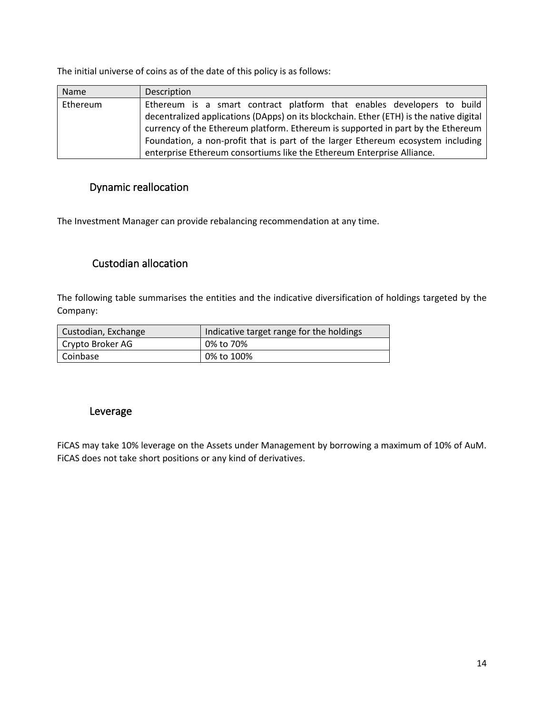The initial universe of coins as of the date of this policy is as follows:

| Name     | Description                                                                             |
|----------|-----------------------------------------------------------------------------------------|
| Ethereum | Ethereum is a smart contract platform that enables developers to build                  |
|          | decentralized applications (DApps) on its blockchain. Ether (ETH) is the native digital |
|          | currency of the Ethereum platform. Ethereum is supported in part by the Ethereum        |
|          | Foundation, a non-profit that is part of the larger Ethereum ecosystem including        |
|          | enterprise Ethereum consortiums like the Ethereum Enterprise Alliance.                  |

### <span id="page-13-0"></span>Dynamic reallocation

The Investment Manager can provide rebalancing recommendation at any time.

### <span id="page-13-1"></span>Custodian allocation

The following table summarises the entities and the indicative diversification of holdings targeted by the Company:

| Custodian, Exchange | Indicative target range for the holdings |
|---------------------|------------------------------------------|
| Crypto Broker AG    | 0% to 70%                                |
| Coinbase            | 0% to 100%                               |

#### <span id="page-13-2"></span>Leverage

FiCAS may take 10% leverage on the Assets under Management by borrowing a maximum of 10% of AuM. FiCAS does not take short positions or any kind of derivatives.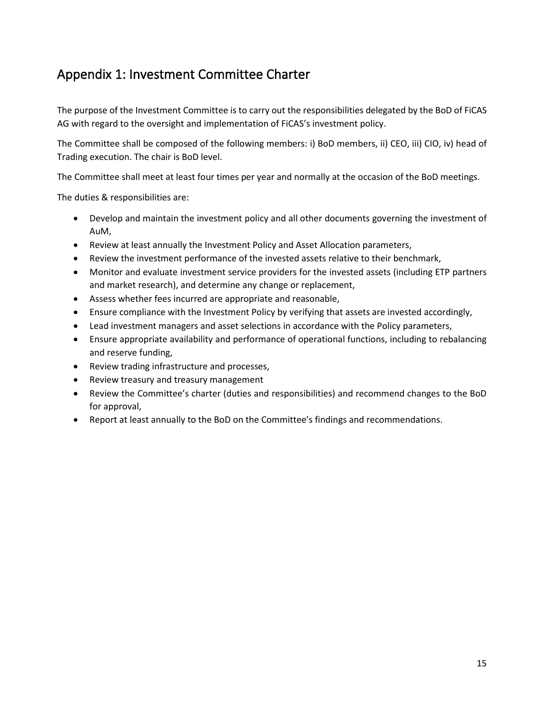# <span id="page-14-0"></span>Appendix 1: Investment Committee Charter

The purpose of the Investment Committee is to carry out the responsibilities delegated by the BoD of FiCAS AG with regard to the oversight and implementation of FiCAS's investment policy.

The Committee shall be composed of the following members: i) BoD members, ii) CEO, iii) CIO, iv) head of Trading execution. The chair is BoD level.

The Committee shall meet at least four times per year and normally at the occasion of the BoD meetings.

The duties & responsibilities are:

- Develop and maintain the investment policy and all other documents governing the investment of AuM,
- Review at least annually the Investment Policy and Asset Allocation parameters,
- Review the investment performance of the invested assets relative to their benchmark,
- Monitor and evaluate investment service providers for the invested assets (including ETP partners and market research), and determine any change or replacement,
- Assess whether fees incurred are appropriate and reasonable,
- Ensure compliance with the Investment Policy by verifying that assets are invested accordingly,
- Lead investment managers and asset selections in accordance with the Policy parameters,
- Ensure appropriate availability and performance of operational functions, including to rebalancing and reserve funding,
- Review trading infrastructure and processes,
- Review treasury and treasury management
- Review the Committee's charter (duties and responsibilities) and recommend changes to the BoD for approval,
- Report at least annually to the BoD on the Committee's findings and recommendations.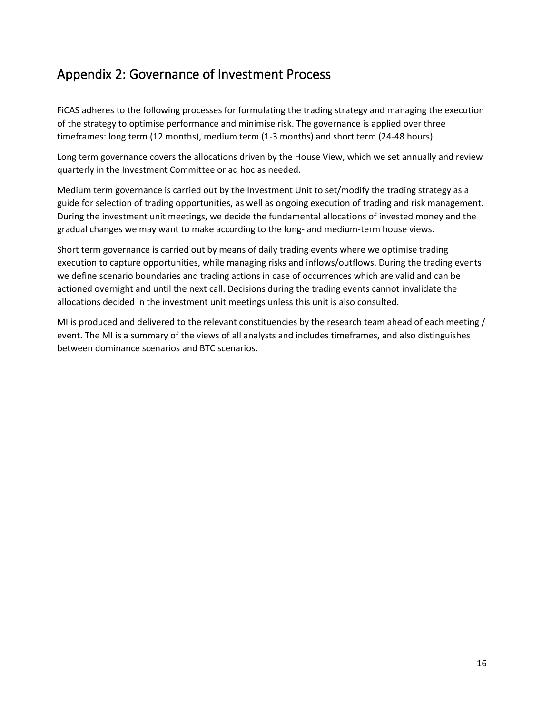# <span id="page-15-0"></span>Appendix 2: Governance of Investment Process

FiCAS adheres to the following processes for formulating the trading strategy and managing the execution of the strategy to optimise performance and minimise risk. The governance is applied over three timeframes: long term (12 months), medium term (1-3 months) and short term (24-48 hours).

Long term governance covers the allocations driven by the House View, which we set annually and review quarterly in the Investment Committee or ad hoc as needed.

Medium term governance is carried out by the Investment Unit to set/modify the trading strategy as a guide for selection of trading opportunities, as well as ongoing execution of trading and risk management. During the investment unit meetings, we decide the fundamental allocations of invested money and the gradual changes we may want to make according to the long- and medium-term house views.

Short term governance is carried out by means of daily trading events where we optimise trading execution to capture opportunities, while managing risks and inflows/outflows. During the trading events we define scenario boundaries and trading actions in case of occurrences which are valid and can be actioned overnight and until the next call. Decisions during the trading events cannot invalidate the allocations decided in the investment unit meetings unless this unit is also consulted.

MI is produced and delivered to the relevant constituencies by the research team ahead of each meeting / event. The MI is a summary of the views of all analysts and includes timeframes, and also distinguishes between dominance scenarios and BTC scenarios.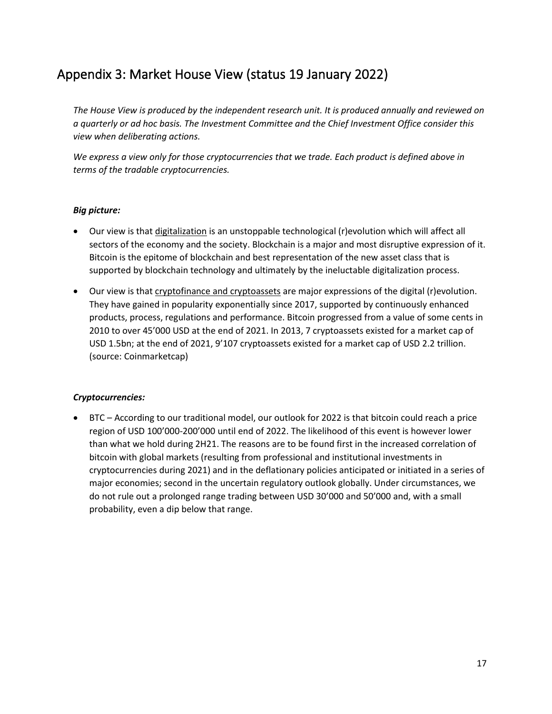# <span id="page-16-0"></span>Appendix 3: Market House View (status 19 January 2022)

*The House View is produced by the independent research unit. It is produced annually and reviewed on a quarterly or ad hoc basis. The Investment Committee and the Chief Investment Office consider this view when deliberating actions.* 

*We express a view only for those cryptocurrencies that we trade. Each product is defined above in terms of the tradable cryptocurrencies.*

#### *Big picture:*

- Our view is that digitalization is an unstoppable technological (r)evolution which will affect all sectors of the economy and the society. Blockchain is a major and most disruptive expression of it. Bitcoin is the epitome of blockchain and best representation of the new asset class that is supported by blockchain technology and ultimately by the ineluctable digitalization process.
- Our view is that cryptofinance and cryptoassets are major expressions of the digital (r)evolution. They have gained in popularity exponentially since 2017, supported by continuously enhanced products, process, regulations and performance. Bitcoin progressed from a value of some cents in 2010 to over 45'000 USD at the end of 2021. In 2013, 7 cryptoassets existed for a market cap of USD 1.5bn; at the end of 2021, 9'107 cryptoassets existed for a market cap of USD 2.2 trillion. (source: Coinmarketcap)

#### *Cryptocurrencies:*

• BTC – According to our traditional model, our outlook for 2022 is that bitcoin could reach a price region of USD 100'000-200'000 until end of 2022. The likelihood of this event is however lower than what we hold during 2H21. The reasons are to be found first in the increased correlation of bitcoin with global markets (resulting from professional and institutional investments in cryptocurrencies during 2021) and in the deflationary policies anticipated or initiated in a series of major economies; second in the uncertain regulatory outlook globally. Under circumstances, we do not rule out a prolonged range trading between USD 30'000 and 50'000 and, with a small probability, even a dip below that range.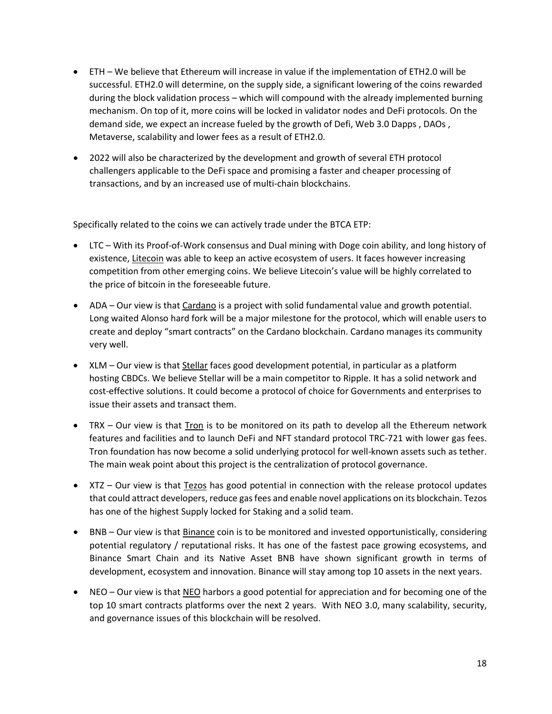- ETH We believe that Ethereum will increase in value if the implementation of ETH2.0 will be successful. ETH2.0 will determine, on the supply side, a significant lowering of the coins rewarded during the block validation process – which will compound with the already implemented burning mechanism. On top of it, more coins will be locked in validator nodes and DeFi protocols. On the demand side, we expect an increase fueled by the growth of Defi, Web 3.0 Dapps , DAOs , Metaverse, scalability and lower fees as a result of ETH2.0.
- 2022 will also be characterized by the development and growth of several ETH protocol challengers applicable to the DeFi space and promising a faster and cheaper processing of transactions, and by an increased use of multi-chain blockchains.

Specifically related to the coins we can actively trade under the BTCA ETP:

- LTC With its Proof-of-Work consensus and Dual mining with Doge coin ability, and long history of existence, Litecoin was able to keep an active ecosystem of users. It faces however increasing competition from other emerging coins. We believe Litecoin's value will be highly correlated to the price of bitcoin in the foreseeable future.
- ADA Our view is that Cardano is a project with solid fundamental value and growth potential. Long waited Alonso hard fork will be a major milestone for the protocol, which will enable users to create and deploy "smart contracts" on the Cardano blockchain. Cardano manages its community very well.
- XLM Our view is that **Stellar** faces good development potential, in particular as a platform hosting CBDCs. We believe Stellar will be a main competitor to Ripple. It has a solid network and cost-effective solutions. It could become a protocol of choice for Governments and enterprises to issue their assets and transact them.
- TRX Our view is that Tron is to be monitored on its path to develop all the Ethereum network features and facilities and to launch DeFi and NFT standard protocol TRC-721 with lower gas fees. Tron foundation has now become a solid underlying protocol for well-known assets such as tether. The main weak point about this project is the centralization of protocol governance.
- XTZ Our view is that Tezos has good potential in connection with the release protocol updates that could attract developers, reduce gas fees and enable novel applications on its blockchain. Tezos has one of the highest Supply locked for Staking and a solid team.
- BNB Our view is that Binance coin is to be monitored and invested opportunistically, considering potential regulatory / reputational risks. It has one of the fastest pace growing ecosystems, and Binance Smart Chain and its Native Asset BNB have shown significant growth in terms of development, ecosystem and innovation. Binance will stay among top 10 assets in the next years.
- NEO Our view is that NEO harbors a good potential for appreciation and for becoming one of the top 10 smart contracts platforms over the next 2 years. With NEO 3.0, many scalability, security, and governance issues of this blockchain will be resolved.